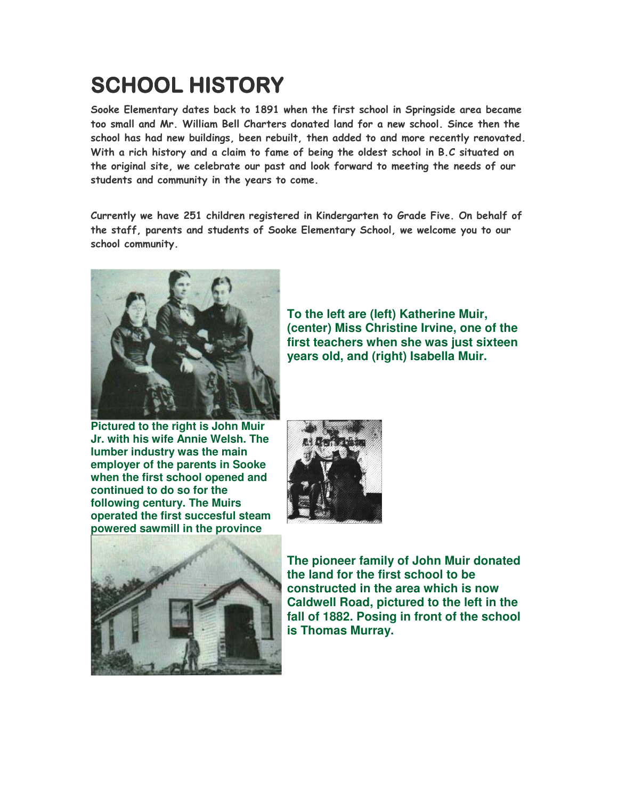## SCHOOL HISTORY

Sooke Elementary dates back to 1891 when the first school in Springside area became too small and Mr. William Bell Charters donated land for a new school. Since then the school has had new buildings, been rebuilt, then added to and more recently renovated. With a rich history and a claim to fame of being the oldest school in B.C situated on the original site, we celebrate our past and look forward to meeting the needs of our students and community in the years to come.

Currently we have 251 children registered in Kindergarten to Grade Five. On behalf of the staff, parents and students of Sooke Elementary School, we welcome you to our school community.



**Pictured to the right is John Muir Jr. with his wife Annie Welsh. The lumber industry was the main employer of the parents in Sooke when the first school opened and continued to do so for the following century. The Muirs operated the first succesful steam powered sawmill in the province**







**The pioneer family of John Muir donated the land for the first school to be constructed in the area which is now Caldwell Road, pictured to the left in the fall of 1882. Posing in front of the school is Thomas Murray.**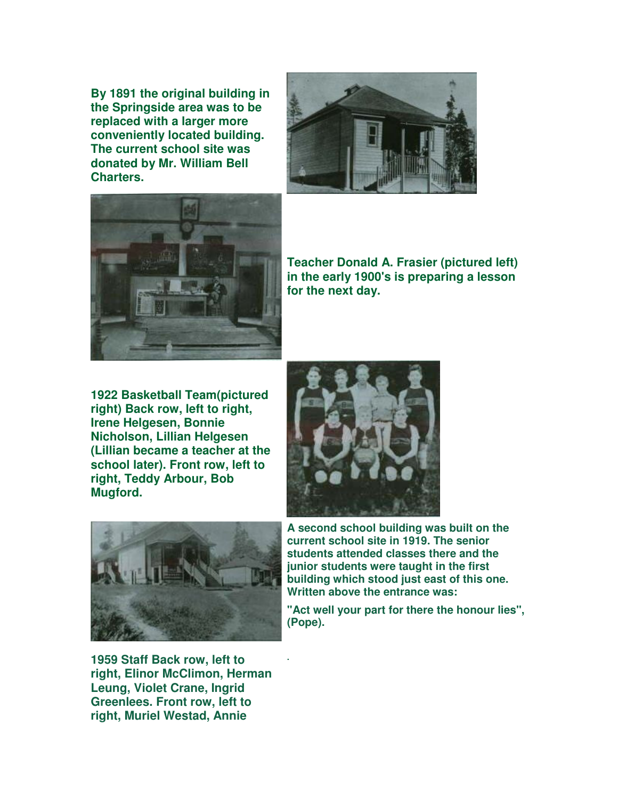**By 1891 the original building in the Springside area was to be replaced with a larger more conveniently located building. The current school site was donated by Mr. William Bell Charters.**





**Teacher Donald A. Frasier (pictured left) in the early 1900's is preparing a lesson for the next day.** 

**1922 Basketball Team(pictured right) Back row, left to right, Irene Helgesen, Bonnie Nicholson, Lillian Helgesen (Lillian became a teacher at the school later). Front row, left to right, Teddy Arbour, Bob Mugford.**





**1959 Staff Back row, left to right, Elinor McClimon, Herman Leung, Violet Crane, Ingrid Greenlees. Front row, left to right, Muriel Westad, Annie** 

**.**

**A second school building was built on the current school site in 1919. The senior students attended classes there and the junior students were taught in the first building which stood just east of this one. Written above the entrance was:** 

**"Act well your part for there the honour lies", (Pope).**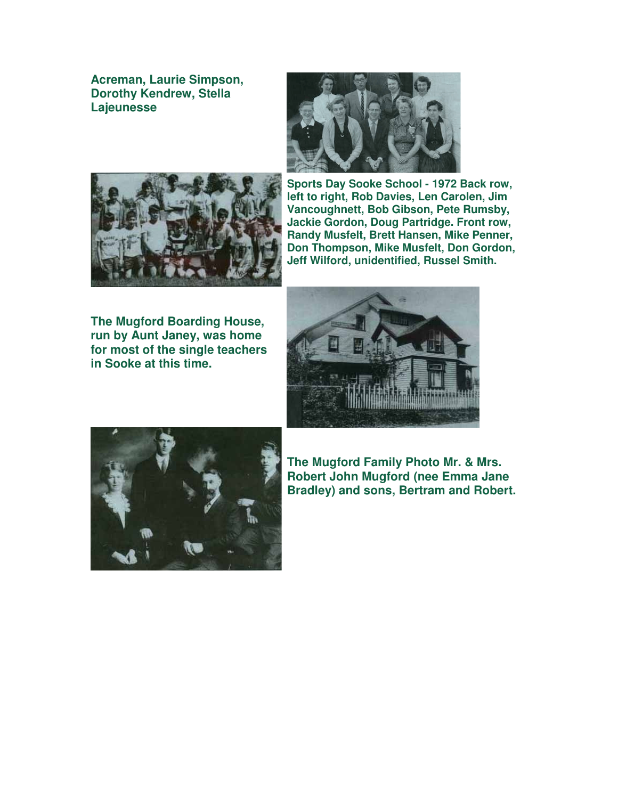**Acreman, Laurie Simpson, Dorothy Kendrew, Stella Lajeunesse**





**Sports Day Sooke School - 1972 Back row, left to right, Rob Davies, Len Carolen, Jim Vancoughnett, Bob Gibson, Pete Rumsby, Jackie Gordon, Doug Partridge. Front row, Randy Musfelt, Brett Hansen, Mike Penner, Don Thompson, Mike Musfelt, Don Gordon, Jeff Wilford, unidentified, Russel Smith.**

**The Mugford Boarding House, run by Aunt Janey, was home for most of the single teachers in Sooke at this time.**





**The Mugford Family Photo Mr. & Mrs. Robert John Mugford (nee Emma Jane Bradley) and sons, Bertram and Robert.**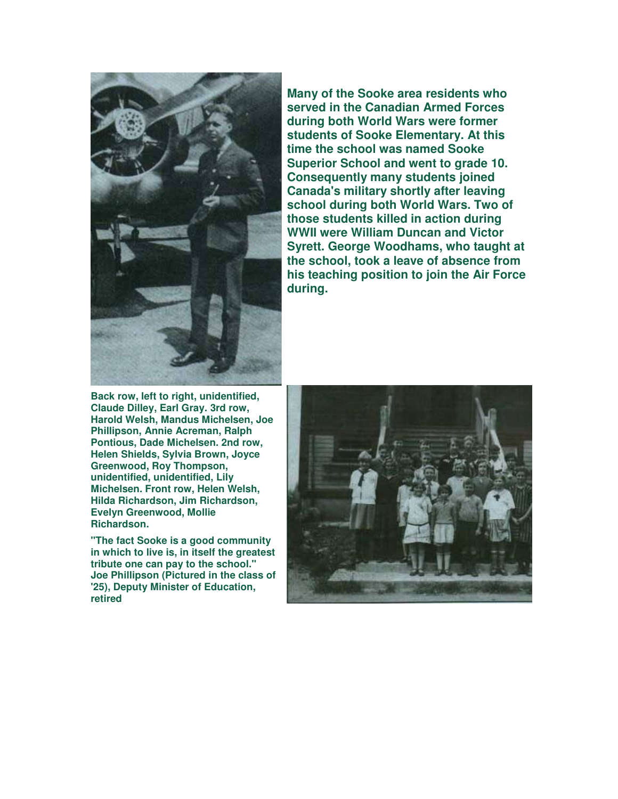

**Back row, left to right, unidentified, Claude Dilley, Earl Gray. 3rd row, Harold Welsh, Mandus Michelsen, Joe Phillipson, Annie Acreman, Ralph Pontious, Dade Michelsen. 2nd row, Helen Shields, Sylvia Brown, Joyce Greenwood, Roy Thompson, unidentified, unidentified, Lily Michelsen. Front row, Helen Welsh, Hilda Richardson, Jim Richardson, Evelyn Greenwood, Mollie Richardson.** 

**"The fact Sooke is a good community in which to live is, in itself the greatest tribute one can pay to the school." Joe Phillipson (Pictured in the class of '25), Deputy Minister of Education, retired**

**Many of the Sooke area residents who served in the Canadian Armed Forces during both World Wars were former students of Sooke Elementary. At this time the school was named Sooke Superior School and went to grade 10. Consequently many students joined Canada's military shortly after leaving school during both World Wars. Two of those students killed in action during WWII were William Duncan and Victor Syrett. George Woodhams, who taught at the school, took a leave of absence from his teaching position to join the Air Force during.**